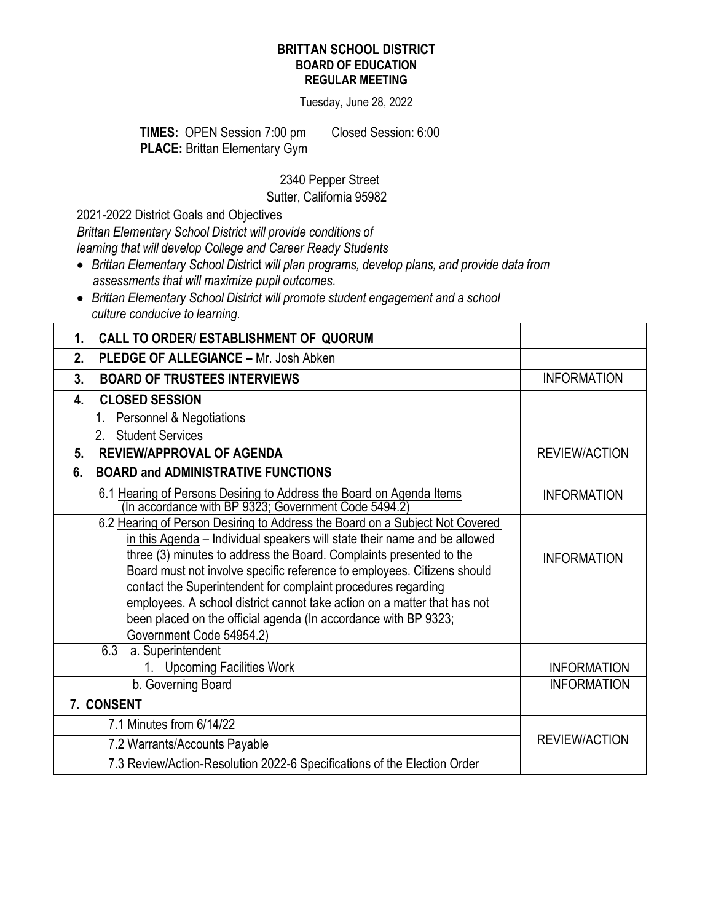## **BRITTAN SCHOOL DISTRICT BOARD OF EDUCATION REGULAR MEETING**

Tuesday, June 28, 2022

**TIMES:** OPEN Session 7:00 pmClosed Session: 6:00 **PLACE: Brittan Elementary Gym** 

2340 Pepper Street

Sutter, California 95982

2021-2022 District Goals and Objectives

*Brittan Elementary School District will provide conditions of learning that will develop College and Career Ready Students*

- *Brittan Elementary School Dist*rict *will plan programs, develop plans, and provide data from assessments that will maximize pupil outcomes.*
- *Brittan Elementary School District will promote student engagement and a school culture conducive to learning.*

| <b>CALL TO ORDER/ ESTABLISHMENT OF QUORUM</b><br>1.                                                                                                                                                                                                                                                                                                                                                                                                                                                                                                     |                      |
|---------------------------------------------------------------------------------------------------------------------------------------------------------------------------------------------------------------------------------------------------------------------------------------------------------------------------------------------------------------------------------------------------------------------------------------------------------------------------------------------------------------------------------------------------------|----------------------|
| 2.<br><b>PLEDGE OF ALLEGIANCE - Mr. Josh Abken</b>                                                                                                                                                                                                                                                                                                                                                                                                                                                                                                      |                      |
| 3.<br><b>BOARD OF TRUSTEES INTERVIEWS</b>                                                                                                                                                                                                                                                                                                                                                                                                                                                                                                               | <b>INFORMATION</b>   |
| <b>CLOSED SESSION</b><br>4.                                                                                                                                                                                                                                                                                                                                                                                                                                                                                                                             |                      |
| Personnel & Negotiations<br>1.                                                                                                                                                                                                                                                                                                                                                                                                                                                                                                                          |                      |
| <b>Student Services</b><br>2 <sup>1</sup>                                                                                                                                                                                                                                                                                                                                                                                                                                                                                                               |                      |
| <b>REVIEW/APPROVAL OF AGENDA</b><br>5 <sub>1</sub>                                                                                                                                                                                                                                                                                                                                                                                                                                                                                                      | <b>REVIEW/ACTION</b> |
| <b>BOARD and ADMINISTRATIVE FUNCTIONS</b><br>6.                                                                                                                                                                                                                                                                                                                                                                                                                                                                                                         |                      |
| 6.1 Hearing of Persons Desiring to Address the Board on Agenda Items<br>(In accordance with BP 9323; Government Code 5494.2)                                                                                                                                                                                                                                                                                                                                                                                                                            | <b>INFORMATION</b>   |
| 6.2 Hearing of Person Desiring to Address the Board on a Subject Not Covered<br>in this Agenda - Individual speakers will state their name and be allowed<br>three (3) minutes to address the Board. Complaints presented to the<br>Board must not involve specific reference to employees. Citizens should<br>contact the Superintendent for complaint procedures regarding<br>employees. A school district cannot take action on a matter that has not<br>been placed on the official agenda (In accordance with BP 9323;<br>Government Code 54954.2) | <b>INFORMATION</b>   |
| $\overline{6.3}$ a. Superintendent                                                                                                                                                                                                                                                                                                                                                                                                                                                                                                                      |                      |
| 1. Upcoming Facilities Work                                                                                                                                                                                                                                                                                                                                                                                                                                                                                                                             | <b>INFORMATION</b>   |
| b. Governing Board                                                                                                                                                                                                                                                                                                                                                                                                                                                                                                                                      | <b>INFORMATION</b>   |
| 7. CONSENT                                                                                                                                                                                                                                                                                                                                                                                                                                                                                                                                              |                      |
| 7.1 Minutes from 6/14/22                                                                                                                                                                                                                                                                                                                                                                                                                                                                                                                                |                      |
| 7.2 Warrants/Accounts Payable                                                                                                                                                                                                                                                                                                                                                                                                                                                                                                                           | <b>REVIEW/ACTION</b> |
| 7.3 Review/Action-Resolution 2022-6 Specifications of the Election Order                                                                                                                                                                                                                                                                                                                                                                                                                                                                                |                      |